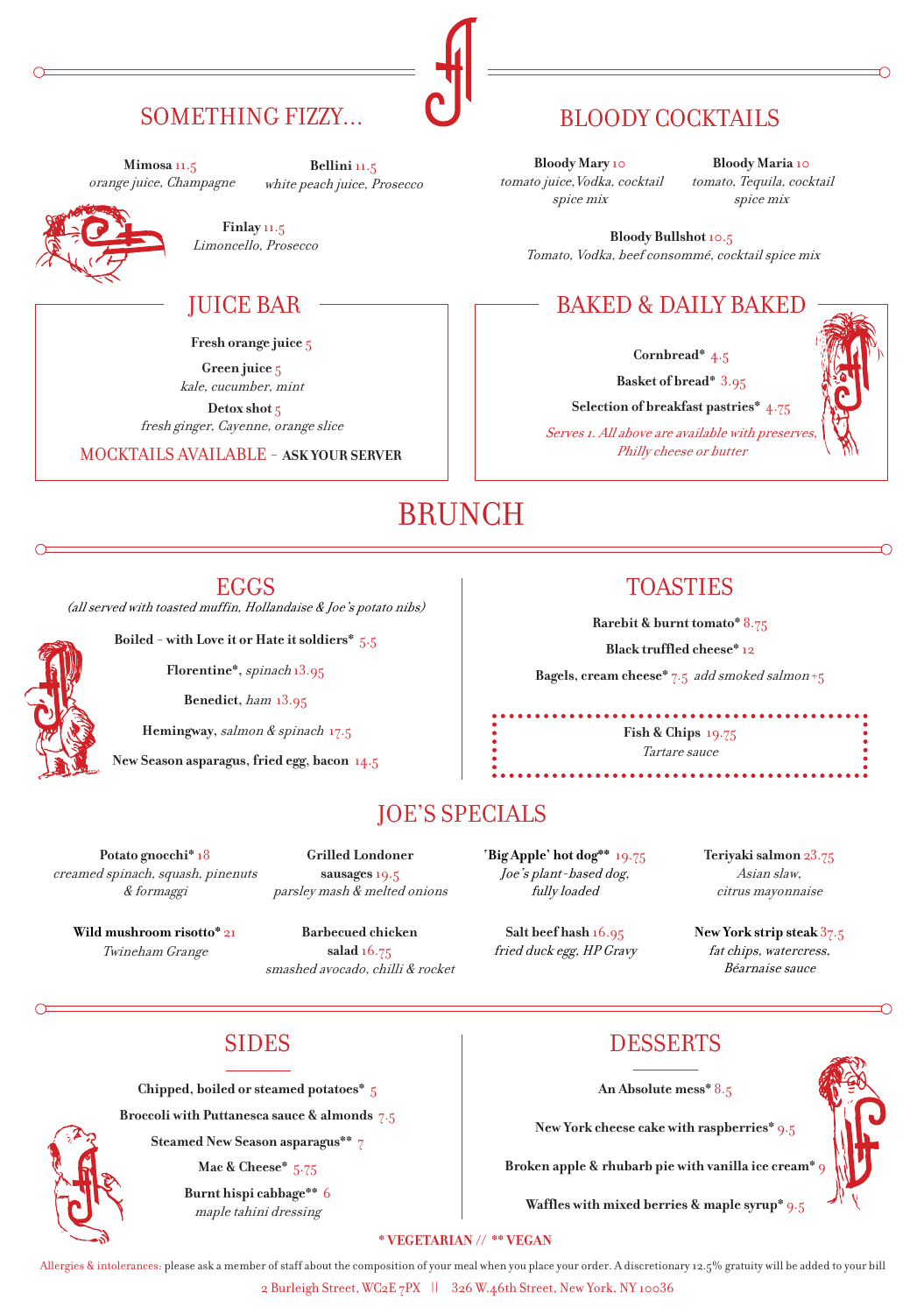# SOMETHING FIZZY...

**Mimosa** 11.5 orange juice, Champagne

**Bellini** 11.5 white peach juice, Prosecco



**Finlay** 11.5 Limoncello, Prosecco

## JUICE BAR

 **Fresh orange juice** 5

**Green juice** 5 kale, cucumber, mint  **Detox shot** 5

fresh ginger, Cayenne, orange slice

MOCKTAILS AVAILABLE - **ASK YOUR SERVER**

# BLOODY COCKTAILS

**Bloody Mary** 10 tomato juice,Vodka, cocktail spice mix

**Bloody Maria** 10 tomato, Tequila, cocktail spice mix

**Bloody Bullshot** 10.5 Tomato, Vodka, beef consommé, cocktail spice mix

# BAKED & DAILY BAKED

**Cornbread\*** 4.5

**Basket of bread\*** 3.95

**Selection of breakfast pastries\*** 4.75

Serves 1. All above are available with preserve, Philly cheese or butter

# BRUNCH

### EGGS

(all served with toasted muffin, Hollandaise & Joe's potato nibs)

**Boiled - with Love it or Hate it soldiers\*** 5.5

**Florentine\*,** spinach 13.95

**Benedict,** ham13.95

 **Hemingway,** salmon & spinach17.5

**New Season asparagus, fried egg, bacon** 14.5

# **Rarebit & burnt tomato\*** 8.75

TOASTIES

**Black truffled cheese\*** 12

**Bagels, cream cheese\*** 7.5add smoked salmon +5

**Fish & Chips** 19.75 Tartare sauce

# JOE'S SPECIALS

**Potato gnocchi\*** 18 creamed spinach, squash, pinenuts & formaggi

**Grilled Londoner sausages**19.5

**Wild mushroom risotto\*** 21 Twineham Grange

parsley mash & melted onions **Barbecued chicken** 

**salad** 16.75 smashed avocado, chilli & rocket **'Big Apple' hot dog\*\*** 19.75 Joe's plant-based dog, fully loaded

**Salt beef hash** 16.95 fried duck egg, HP Gravy **Teriyaki salmon** 23.75 Asian slaw, citrus mayonnaise

**New York strip steak** 37.5 fat chips, watercress, Béarnaise sauce

**Chipped, boiled or steamed potatoes\*** 5

**Broccoli with Puttanesca sauce & almonds** 7.5

**Steamed New Season asparagus\*\*** 7

**Mac & Cheese\*** 5.75

**Burnt hispi cabbage\*\*** 6 maple tahini dressing

SIDES DESSERTS

**An Absolute mess\*** 8.5

**New York cheese cake with raspberries\*** 9.5

**Broken apple & rhubarb pie with vanilla ice cream\*** 9

**Waffles with mixed berries & maple syrup\*** 9.5

#### **\* VEGETARIAN // \*\* VEGAN**

2 Burleigh Street, WC2E 7PX || 326 W.46th Street, New York, NY 10036 Allergies & intolerances: please ask a member of staff about the composition of your meal when you place your order. A discretionary 12.5% gratuity will be added to your bill